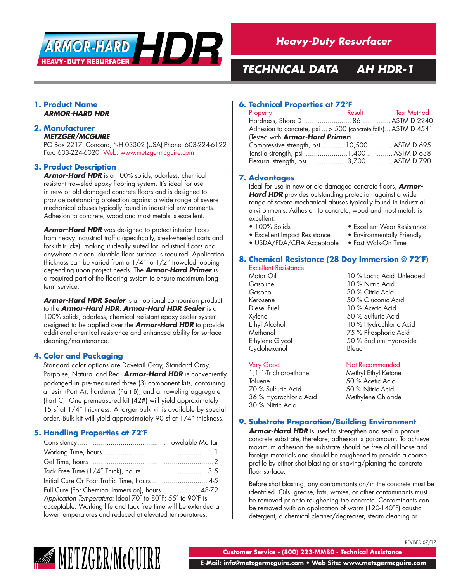

# *TECHNICAL DATA AH HDR-1*

#### **1. Product Name** *ARMOR-HARD HDR*

#### **2. Manufacturer** *METZGER/MCGUIRE*

PO Box 2217 Concord, NH 03302 (USA) Phone: 603-224-6122 Fax: 603-224-6020 Web: www.metzgermcguire.com

#### **3. Product Description**

*Armor-Hard HDR* is a 100% solids, odorless, chemical resistant troweled epoxy flooring system. It's ideal for use in new or old damaged concrete floors and is designed to provide outstanding protection against a wide range of severe mechanical abuses typically found in industrial environments. Adhesion to concrete, wood and most metals is excellent.

*Armor-Hard HDR* was designed to protect interior floors from heavy industrial traffic (specifically, steel-wheeled carts and forklift trucks), making it ideally suited for industrial floors and anywhere a clean, durable floor surface is required. Application thickness can be varied from a 1/4" to 1/2" troweled topping depending upon project needs. The *Armor-Hard Primer* is a required part of the flooring system to ensure maximum long term service.

*Armor-Hard HDR Sealer* is an optional companion product to the *Armor-Hard HDR*. *Armor-Hard HDR Sealer* is a 100% solids, odorless, chemical resistant epoxy sealer system designed to be applied over the *Armor-Hard HDR* to provide additional chemical resistance and enhanced ability for surface cleaning/maintenance.

### **4. Color and Packaging**

Standard color options are Dovetail Gray, Standard Gray, Porpoise, Natural and Red. *Armor-Hard HDR* is conveniently packaged in pre-measured three (3) component kits, containing a resin (Part A), hardener (Part B), and a troweling aggregate (Part C). One premeasured kit (42#) will yield approximately 15 sf at 1/4" thickness. A larger bulk kit is available by special order. Bulk kit will yield approximately 90 sf at 1/4" thickness.

### **5. Handling Properties at 72°F**

| Initial Cure Or Foot Traffic Time, hours  4-5                   |  |  |
|-----------------------------------------------------------------|--|--|
| Full Cure (For Chemical Immersion), hours  48-72                |  |  |
| Application Temperature: Ideal 70° to 80°F; 55° to 90°F is      |  |  |
| acceptable. Working life and tack free time will be extended at |  |  |
| lower temperatures and reduced at elevated temperatures.        |  |  |

#### **6. Technical Properties at 72°F**

| Property                                                      |  | Result Test Method |  |  |
|---------------------------------------------------------------|--|--------------------|--|--|
|                                                               |  |                    |  |  |
| Adhesion to concrete, psi  > 500 (concrete fails) ASTM D 4541 |  |                    |  |  |
| (Tested with <b>Armor-Hard Primer</b> )                       |  |                    |  |  |
| Compressive strength, psi 10,500  ASTM D 695                  |  |                    |  |  |
|                                                               |  |                    |  |  |
| Flexural strength, psi 3,700  ASTM D 790                      |  |                    |  |  |

### **7. Advantages**

Ideal for use in new or old damaged concrete floors, *Armor-*Hard HDR provides outstanding protection against a wide range of severe mechanical abuses typically found in industrial environments. Adhesion to concrete, wood and most metals is excellent.

- 
- 
- 100% Solids Excellent Wear Resistance
- Excellent Impact Resistance Environmentally Friendly<br>• USDA/FDA/CFIA Acceptable Fast Walk-On Time • USDA/FDA/CFIA Acceptable
	-

### **8. Chemical Resistance (28 Day Immersion @ 72°F)**

| Excellent Resistance |                           |
|----------------------|---------------------------|
| Motor Oil            | 10 % Lactic Acid Unleaded |
| Gasoline             | 10 % Nitric Acid          |
| Gasohol              | 30 % Citric Acid          |
| Kerosene             | 50 % Gluconic Acid        |
| Diesel Fuel          | 10 % Acetic Acid          |
| Xylene               | 50 % Sulfuric Acid        |
| Ethyl Alcohol        | 10 % Hydrochloric Acid    |
| Methanol             | 75 % Phosphoric Acid      |
| Ethylene Glycol      | 50 % Sodium Hydroxide     |
| Cyclohexanol         | Bleach                    |
|                      |                           |

Very Good<br>1,1,1-Trichloroethane Methyl Ethyl Ketone 1, 1, 1-Trichloroethane Toluene 50 % Acetic Acid<br>70 % Sulfuric Acid 50 % Nitric Acid 70 % Sulfuric Acid 36 % Hydrochloric Acid Methylene Chloride 30 % Nitric Acid

REVISED 07/17

### **9. Substrate Preparation/Building Environment**

*Armor-Hard HDR* is used to strengthen and seal a porous concrete substrate, therefore, adhesion is paramount. To achieve maximum adhesion the substrate should be free of all loose and foreign materials and should be roughened to provide a coarse profile by either shot blasting or shaving/planing the concrete floor surface.

Before shot blasting, any contaminants on/in the concrete must be identified. Oils, grease, fats, waxes, or other contaminants must be removed prior to roughening the concrete. Contaminants can be removed with an application of warm (120-140°F) caustic detergent, a chemical cleaner/degreaser, steam cleaning or



**Customer Service - (800) 223-MM80 - Technical Assistance**

**E-Mail: info@metzgermcguire.com • Web Site: www.metzgermcguire.com**